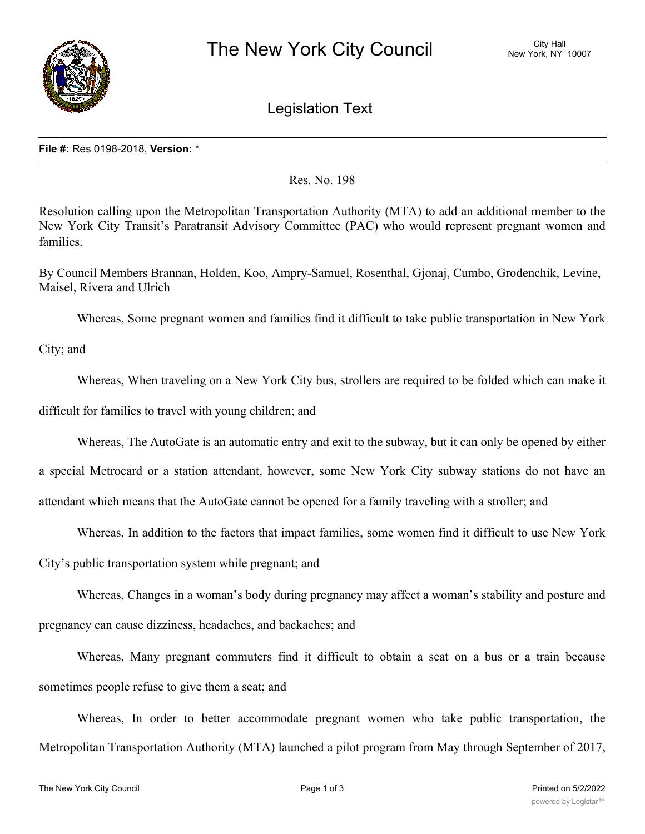

Legislation Text

## **File #:** Res 0198-2018, **Version:** \*

Res. No. 198

Resolution calling upon the Metropolitan Transportation Authority (MTA) to add an additional member to the New York City Transit's Paratransit Advisory Committee (PAC) who would represent pregnant women and families.

By Council Members Brannan, Holden, Koo, Ampry-Samuel, Rosenthal, Gjonaj, Cumbo, Grodenchik, Levine, Maisel, Rivera and Ulrich

Whereas, Some pregnant women and families find it difficult to take public transportation in New York

City; and

Whereas, When traveling on a New York City bus, strollers are required to be folded which can make it

difficult for families to travel with young children; and

Whereas, The AutoGate is an automatic entry and exit to the subway, but it can only be opened by either

a special Metrocard or a station attendant, however, some New York City subway stations do not have an

attendant which means that the AutoGate cannot be opened for a family traveling with a stroller; and

Whereas, In addition to the factors that impact families, some women find it difficult to use New York

City's public transportation system while pregnant; and

Whereas, Changes in a woman's body during pregnancy may affect a woman's stability and posture and

pregnancy can cause dizziness, headaches, and backaches; and

Whereas, Many pregnant commuters find it difficult to obtain a seat on a bus or a train because sometimes people refuse to give them a seat; and

Whereas, In order to better accommodate pregnant women who take public transportation, the Metropolitan Transportation Authority (MTA) launched a pilot program from May through September of 2017,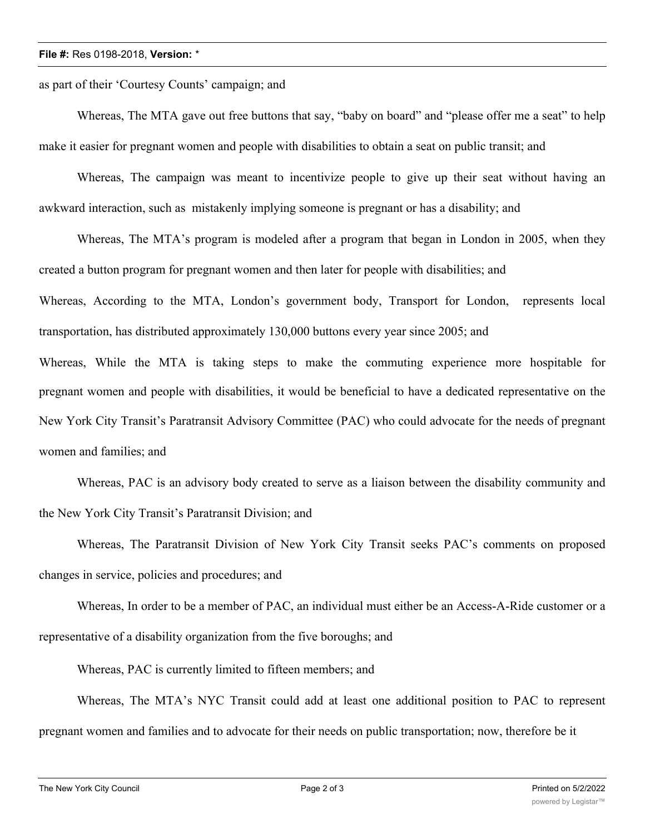## **File #:** Res 0198-2018, **Version:** \*

as part of their 'Courtesy Counts' campaign; and

Whereas, The MTA gave out free buttons that say, "baby on board" and "please offer me a seat" to help make it easier for pregnant women and people with disabilities to obtain a seat on public transit; and

Whereas, The campaign was meant to incentivize people to give up their seat without having an awkward interaction, such as mistakenly implying someone is pregnant or has a disability; and

Whereas, The MTA's program is modeled after a program that began in London in 2005, when they created a button program for pregnant women and then later for people with disabilities; and Whereas, According to the MTA, London's government body, Transport for London, represents local transportation, has distributed approximately 130,000 buttons every year since 2005; and Whereas, While the MTA is taking steps to make the commuting experience more hospitable for pregnant women and people with disabilities, it would be beneficial to have a dedicated representative on the New York City Transit's Paratransit Advisory Committee (PAC) who could advocate for the needs of pregnant women and families; and

Whereas, PAC is an advisory body created to serve as a liaison between the disability community and the New York City Transit's Paratransit Division; and

Whereas, The Paratransit Division of New York City Transit seeks PAC's comments on proposed changes in service, policies and procedures; and

Whereas, In order to be a member of PAC, an individual must either be an Access-A-Ride customer or a representative of a disability organization from the five boroughs; and

Whereas, PAC is currently limited to fifteen members; and

Whereas, The MTA's NYC Transit could add at least one additional position to PAC to represent pregnant women and families and to advocate for their needs on public transportation; now, therefore be it